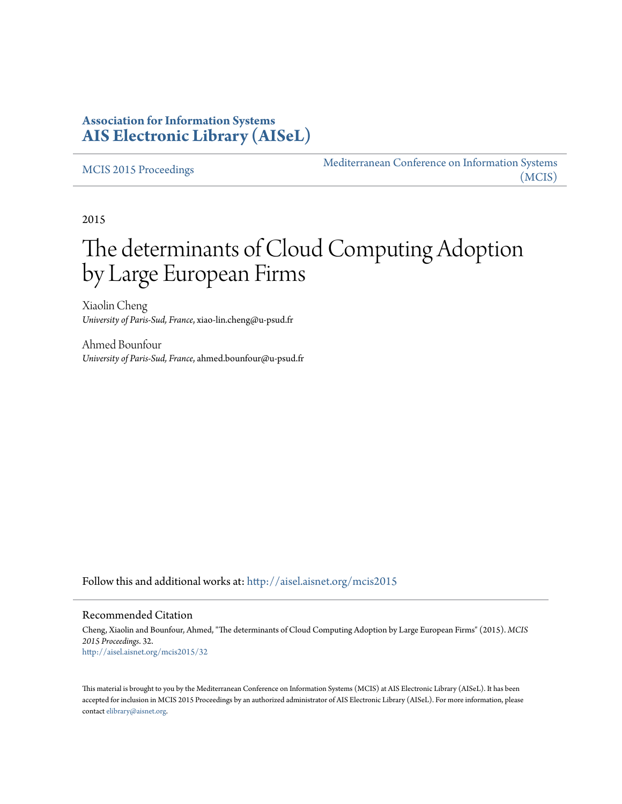### **Association for Information Systems [AIS Electronic Library \(AISeL\)](http://aisel.aisnet.org?utm_source=aisel.aisnet.org%2Fmcis2015%2F32&utm_medium=PDF&utm_campaign=PDFCoverPages)**

#### [MCIS 2015 Proceedings](http://aisel.aisnet.org/mcis2015?utm_source=aisel.aisnet.org%2Fmcis2015%2F32&utm_medium=PDF&utm_campaign=PDFCoverPages)

[Mediterranean Conference on Information Systems](http://aisel.aisnet.org/mcis?utm_source=aisel.aisnet.org%2Fmcis2015%2F32&utm_medium=PDF&utm_campaign=PDFCoverPages) [\(MCIS\)](http://aisel.aisnet.org/mcis?utm_source=aisel.aisnet.org%2Fmcis2015%2F32&utm_medium=PDF&utm_campaign=PDFCoverPages)

2015

# The determinants of Cloud Computing Adoption by Large European Firms

Xiaolin Cheng *University of Paris-Sud, France*, xiao-lin.cheng@u-psud.fr

Ahmed Bounfour *University of Paris-Sud, France*, ahmed.bounfour@u-psud.fr

Follow this and additional works at: [http://aisel.aisnet.org/mcis2015](http://aisel.aisnet.org/mcis2015?utm_source=aisel.aisnet.org%2Fmcis2015%2F32&utm_medium=PDF&utm_campaign=PDFCoverPages)

#### Recommended Citation

Cheng, Xiaolin and Bounfour, Ahmed, "The determinants of Cloud Computing Adoption by Large European Firms" (2015). *MCIS 2015 Proceedings*. 32. [http://aisel.aisnet.org/mcis2015/32](http://aisel.aisnet.org/mcis2015/32?utm_source=aisel.aisnet.org%2Fmcis2015%2F32&utm_medium=PDF&utm_campaign=PDFCoverPages)

This material is brought to you by the Mediterranean Conference on Information Systems (MCIS) at AIS Electronic Library (AISeL). It has been accepted for inclusion in MCIS 2015 Proceedings by an authorized administrator of AIS Electronic Library (AISeL). For more information, please contact [elibrary@aisnet.org.](mailto:elibrary@aisnet.org%3E)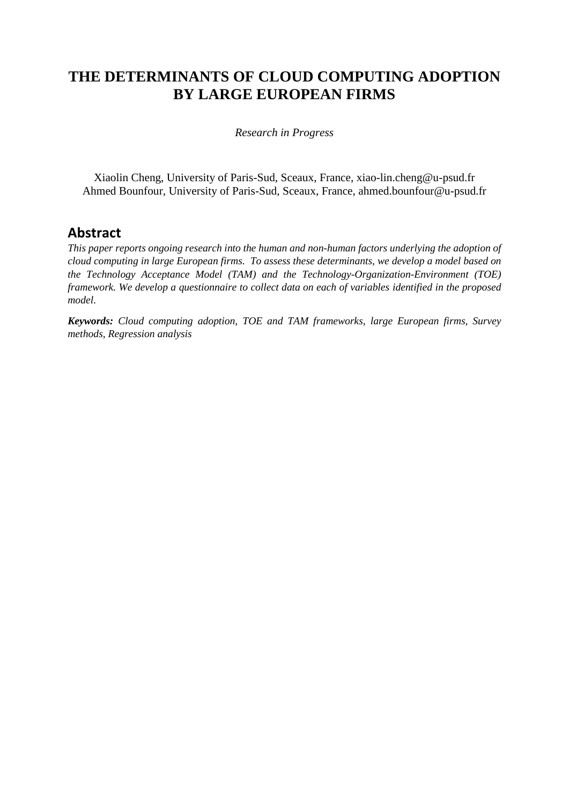# **THE DETERMINANTS OF CLOUD COMPUTING ADOPTION BY LARGE EUROPEAN FIRMS**

*Research in Progress*

Xiaolin Cheng, University of Paris-Sud, Sceaux, France, [xiao-lin.cheng@u-psud.fr](mailto:xiao-lin.cheng@u-psud.fr) Ahmed Bounfour, University of Paris-Sud, Sceaux, France, [ahmed.bounfour@u-psud.fr](mailto:ahmed.bounfour@u-psud.fr)

### **Abstract**

*This paper reports ongoing research into the human and non-human factors underlying the adoption of cloud computing in large European firms. To assess these determinants, we develop a model based on the Technology Acceptance Model (TAM) and the Technology-Organization-Environment (TOE) framework. We develop a questionnaire to collect data on each of variables identified in the proposed model.*

*Keywords: Cloud computing adoption, TOE and TAM frameworks, large European firms, Survey methods, Regression analysis*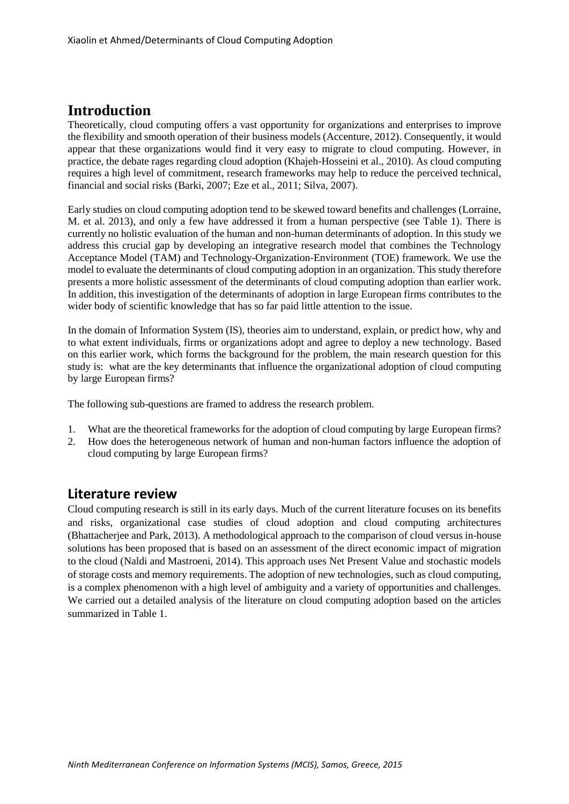# **Introduction**

Theoretically, cloud computing offers a vast opportunity for organizations and enterprises to improve the flexibility and smooth operation of their business models (Accenture, 2012). Consequently, it would appear that these organizations would find it very easy to migrate to cloud computing. However, in practice, the debate rages regarding cloud adoption (Khajeh-Hosseini et al., 2010). As cloud computing requires a high level of commitment, research frameworks may help to reduce the perceived technical, financial and social risks (Barki, 2007; Eze et al., 2011; Silva, 2007).

Early studies on cloud computing adoption tend to be skewed toward benefits and challenges (Lorraine, M. et al. 2013), and only a few have addressed it from a human perspective (see Table 1). There is currently no holistic evaluation of the human and non-human determinants of adoption. In this study we address this crucial gap by developing an integrative research model that combines the Technology Acceptance Model (TAM) and Technology-Organization-Environment (TOE) framework. We use the model to evaluate the determinants of cloud computing adoption in an organization. This study therefore presents a more holistic assessment of the determinants of cloud computing adoption than earlier work. In addition, this investigation of the determinants of adoption in large European firms contributes to the wider body of scientific knowledge that has so far paid little attention to the issue.

In the domain of Information System (IS), theories aim to understand, explain, or predict how, why and to what extent individuals, firms or organizations adopt and agree to deploy a new technology. Based on this earlier work, which forms the background for the problem, the main research question for this study is: what are the key determinants that influence the organizational adoption of cloud computing by large European firms?

The following sub-questions are framed to address the research problem.

- 1. What are the theoretical frameworks for the adoption of cloud computing by large European firms?
- 2. How does the heterogeneous network of human and non-human factors influence the adoption of cloud computing by large European firms?

### **Literature review**

Cloud computing research is still in its early days. Much of the current literature focuses on its benefits and risks, organizational case studies of cloud adoption and cloud computing architectures (Bhattacherjee and Park, 2013). A methodological approach to the comparison of cloud versus in-house solutions has been proposed that is based on an assessment of the direct economic impact of migration to the cloud (Naldi and Mastroeni, 2014). This approach uses Net Present Value and stochastic models of storage costs and memory requirements. The adoption of new technologies, such as cloud computing, is a complex phenomenon with a high level of ambiguity and a variety of opportunities and challenges. We carried out a detailed analysis of the literature on cloud computing adoption based on the articles summarized in Table 1.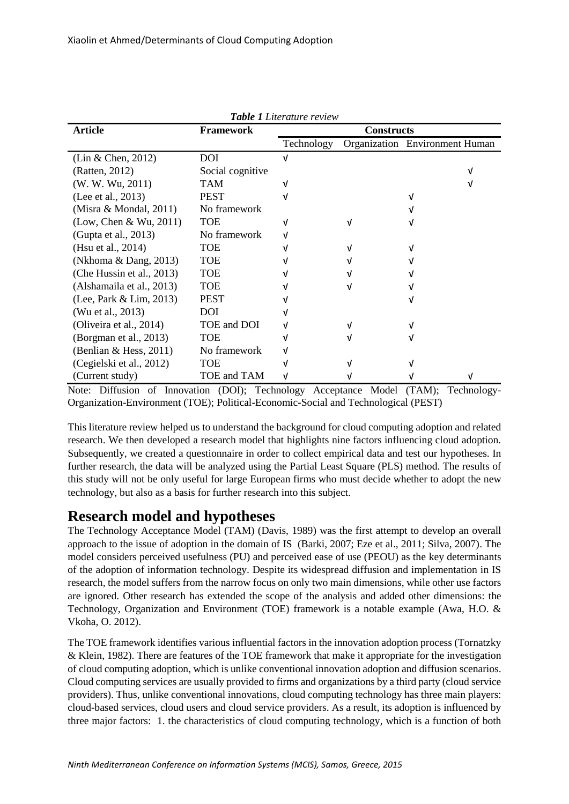| <b>Table 1</b> Literature review |                  |                   |  |                                |
|----------------------------------|------------------|-------------------|--|--------------------------------|
| <b>Article</b>                   | <b>Framework</b> | <b>Constructs</b> |  |                                |
|                                  |                  | Technology        |  | Organization Environment Human |
| $(Lin \& Chen, 2012)$            | <b>DOI</b>       |                   |  |                                |
| (Ratten, 2012)                   | Social cognitive |                   |  | ν                              |
| (W. W. Wu, 2011)                 | TAM              |                   |  |                                |
| (Lee et al., 2013)               | <b>PEST</b>      |                   |  |                                |
| (Misra & Mondal, $2011$ )        | No framework     |                   |  |                                |
| (Low, Chen & Wu, 2011)           | <b>TOE</b>       |                   |  |                                |
| (Gupta et al., 2013)             | No framework     |                   |  |                                |
| (Hsu et al., 2014)               | TOE              |                   |  |                                |
| (Nkhoma & Dang, 2013)            | <b>TOE</b>       |                   |  |                                |
| (Che Hussin et al., 2013)        | <b>TOE</b>       |                   |  |                                |
| (Alshamaila et al., 2013)        | <b>TOE</b>       |                   |  |                                |
| (Lee, Park & Lim, 2013)          | <b>PEST</b>      |                   |  |                                |
| (Wu et al., 2013)                | DOI              |                   |  |                                |
| (Oliveira et al., 2014)          | TOE and DOI      |                   |  |                                |
| (Borgman et al., 2013)           | <b>TOE</b>       |                   |  |                                |
| (Benlian & Hess, 2011)           | No framework     |                   |  |                                |
| (Cegielski et al., 2012)         | <b>TOE</b>       |                   |  |                                |
| (Current study)                  | TOE and TAM      |                   |  | ν                              |

*Table 1 Literature review*

Note: Diffusion of Innovation (DOI); Technology Acceptance Model (TAM); Technology-Organization-Environment (TOE); Political-Economic-Social and Technological (PEST)

This literature review helped us to understand the background for cloud computing adoption and related research. We then developed a research model that highlights nine factors influencing cloud adoption. Subsequently, we created a questionnaire in order to collect empirical data and test our hypotheses. In further research, the data will be analyzed using the Partial Least Square (PLS) method. The results of this study will not be only useful for large European firms who must decide whether to adopt the new technology, but also as a basis for further research into this subject.

## **Research model and hypotheses**

The Technology Acceptance Model (TAM) (Davis, 1989) was the first attempt to develop an overall approach to the issue of adoption in the domain of IS (Barki, 2007; Eze et al., 2011; Silva, 2007). The model considers perceived usefulness (PU) and perceived ease of use (PEOU) as the key determinants of the adoption of information technology. Despite its widespread diffusion and implementation in IS research, the model suffers from the narrow focus on only two main dimensions, while other use factors are ignored. Other research has extended the scope of the analysis and added other dimensions: the Technology, Organization and Environment (TOE) framework is a notable example (Awa, H.O. & Vkoha, O. 2012).

The TOE framework identifies various influential factors in the innovation adoption process (Tornatzky & Klein, 1982). There are features of the TOE framework that make it appropriate for the investigation of cloud computing adoption, which is unlike conventional innovation adoption and diffusion scenarios. Cloud computing services are usually provided to firms and organizations by a third party (cloud service providers). Thus, unlike conventional innovations, cloud computing technology has three main players: cloud-based services, cloud users and cloud service providers. As a result, its adoption is influenced by three major factors: 1. the characteristics of cloud computing technology, which is a function of both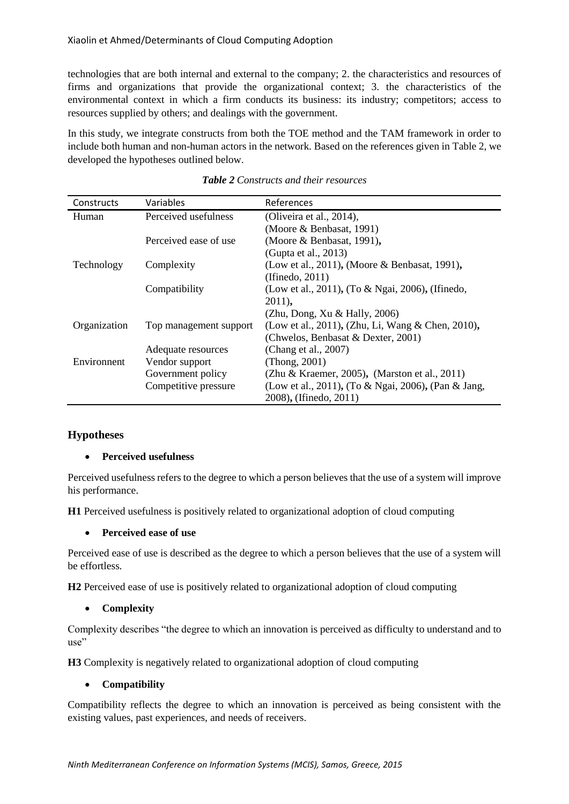technologies that are both internal and external to the company; 2. the characteristics and resources of firms and organizations that provide the organizational context; 3. the characteristics of the environmental context in which a firm conducts its business: its industry; competitors; access to resources supplied by others; and dealings with the government.

In this study, we integrate constructs from both the TOE method and the TAM framework in order to include both human and non-human actors in the network. Based on the references given in Table 2, we developed the hypotheses outlined below.

| Constructs   | Variables              | References                                          |
|--------------|------------------------|-----------------------------------------------------|
| Human        | Perceived usefulness   | (Oliveira et al., 2014),                            |
|              |                        | (Moore & Benbasat, 1991)                            |
|              | Perceived ease of use  | (Moore & Benbasat, 1991),                           |
|              |                        | (Gupta et al., 2013)                                |
| Technology   | Complexity             | (Low et al., 2011), (Moore & Benbasat, 1991),       |
|              |                        | (If in edo, 2011)                                   |
|              | Compatibility          | (Low et al., 2011), (To & Ngai, 2006), (Ifinedo,    |
|              |                        | $2011$ ,                                            |
|              |                        | (Zhu, Dong, Xu & Hally, 2006)                       |
| Organization | Top management support | (Low et al., 2011), (Zhu, Li, Wang & Chen, 2010),   |
|              |                        | (Chwelos, Benbasat & Dexter, 2001)                  |
|              | Adequate resources     | (Chang et al., 2007)                                |
| Environnent  | Vendor support         | (Thong, 2001)                                       |
|              | Government policy      | (Zhu & Kraemer, 2005), (Marston et al., 2011)       |
|              | Competitive pressure   | (Low et al., 2011), (To & Ngai, 2006), (Pan & Jang, |
|              |                        | 2008), (Ifinedo, 2011)                              |

| <b>Table 2</b> Constructs and their resources |  |  |
|-----------------------------------------------|--|--|
|-----------------------------------------------|--|--|

#### **Hypotheses**

#### **Perceived usefulness**

Perceived usefulness refers to the degree to which a person believes that the use of a system will improve his performance.

**H1** Perceived usefulness is positively related to organizational adoption of cloud computing

#### **Perceived ease of use**

Perceived ease of use is described as the degree to which a person believes that the use of a system will be effortless.

**H2** Perceived ease of use is positively related to organizational adoption of cloud computing

#### **Complexity**

Complexity describes "the degree to which an innovation is perceived as difficulty to understand and to use"

**H3** Complexity is negatively related to organizational adoption of cloud computing

#### **Compatibility**

Compatibility reflects the degree to which an innovation is perceived as being consistent with the existing values, past experiences, and needs of receivers.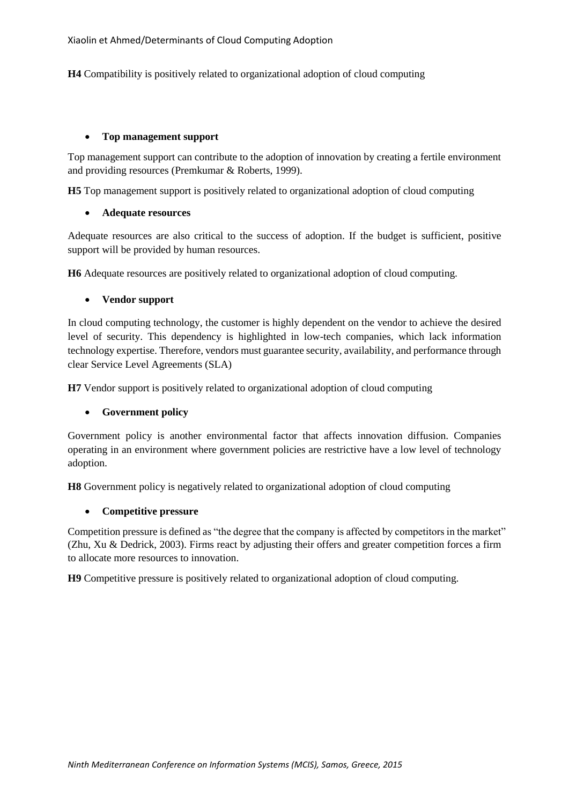**H4** Compatibility is positively related to organizational adoption of cloud computing

#### **Top management support**

Top management support can contribute to the adoption of innovation by creating a fertile environment and providing resources (Premkumar & Roberts, 1999).

**H5** Top management support is positively related to organizational adoption of cloud computing

#### **Adequate resources**

Adequate resources are also critical to the success of adoption. If the budget is sufficient, positive support will be provided by human resources.

**H6** Adequate resources are positively related to organizational adoption of cloud computing.

#### **Vendor support**

In cloud computing technology, the customer is highly dependent on the vendor to achieve the desired level of security. This dependency is highlighted in low-tech companies, which lack information technology expertise. Therefore, vendors must guarantee security, availability, and performance through clear Service Level Agreements (SLA)

**H7** Vendor support is positively related to organizational adoption of cloud computing

#### **Government policy**

Government policy is another environmental factor that affects innovation diffusion. Companies operating in an environment where government policies are restrictive have a low level of technology adoption.

**H8** Government policy is negatively related to organizational adoption of cloud computing

#### **Competitive pressure**

Competition pressure is defined as "the degree that the company is affected by competitors in the market" (Zhu, Xu & Dedrick, 2003). Firms react by adjusting their offers and greater competition forces a firm to allocate more resources to innovation.

**H9** Competitive pressure is positively related to organizational adoption of cloud computing.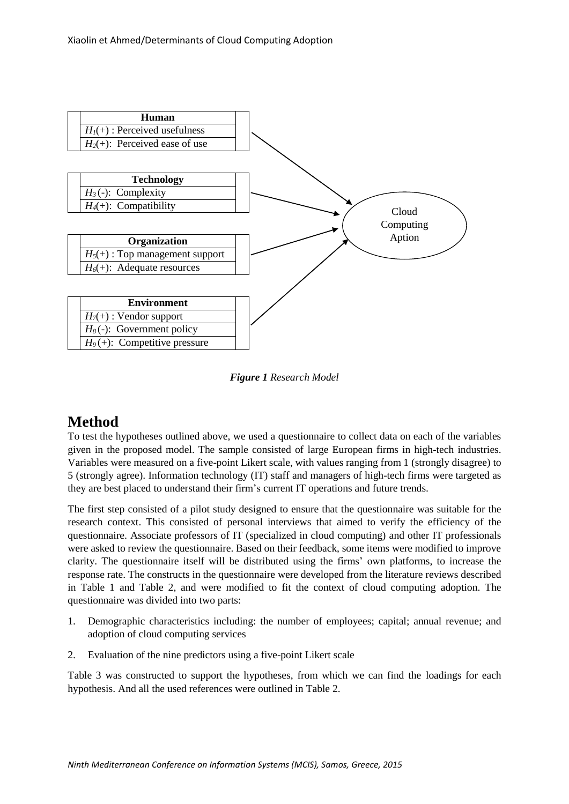

*Figure 1 Research Model*

# **Method**

To test the hypotheses outlined above, we used a questionnaire to collect data on each of the variables given in the proposed model. The sample consisted of large European firms in high-tech industries. Variables were measured on a five-point Likert scale, with values ranging from 1 (strongly disagree) to 5 (strongly agree). Information technology (IT) staff and managers of high-tech firms were targeted as they are best placed to understand their firm's current IT operations and future trends.

The first step consisted of a pilot study designed to ensure that the questionnaire was suitable for the research context. This consisted of personal interviews that aimed to verify the efficiency of the questionnaire. Associate professors of IT (specialized in cloud computing) and other IT professionals were asked to review the questionnaire. Based on their feedback, some items were modified to improve clarity. The questionnaire itself will be distributed using the firms' own platforms, to increase the response rate. The constructs in the questionnaire were developed from the literature reviews described in Table 1 and Table 2, and were modified to fit the context of cloud computing adoption. The questionnaire was divided into two parts:

- 1. Demographic characteristics including: the number of employees; capital; annual revenue; and adoption of cloud computing services
- 2. Evaluation of the nine predictors using a five-point Likert scale

Table 3 was constructed to support the hypotheses, from which we can find the loadings for each hypothesis. And all the used references were outlined in Table 2.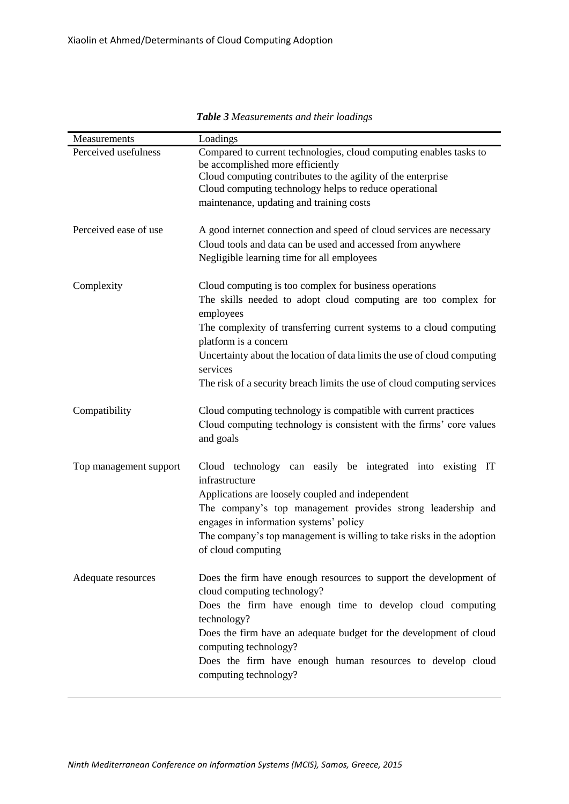| Measurements           | Loadings                                                                                                                                                                                                                                                                                                                                                                                                  |
|------------------------|-----------------------------------------------------------------------------------------------------------------------------------------------------------------------------------------------------------------------------------------------------------------------------------------------------------------------------------------------------------------------------------------------------------|
| Perceived usefulness   | Compared to current technologies, cloud computing enables tasks to<br>be accomplished more efficiently<br>Cloud computing contributes to the agility of the enterprise<br>Cloud computing technology helps to reduce operational<br>maintenance, updating and training costs                                                                                                                              |
| Perceived ease of use  | A good internet connection and speed of cloud services are necessary<br>Cloud tools and data can be used and accessed from anywhere<br>Negligible learning time for all employees                                                                                                                                                                                                                         |
| Complexity             | Cloud computing is too complex for business operations<br>The skills needed to adopt cloud computing are too complex for<br>employees<br>The complexity of transferring current systems to a cloud computing<br>platform is a concern<br>Uncertainty about the location of data limits the use of cloud computing<br>services<br>The risk of a security breach limits the use of cloud computing services |
| Compatibility          | Cloud computing technology is compatible with current practices<br>Cloud computing technology is consistent with the firms' core values<br>and goals                                                                                                                                                                                                                                                      |
| Top management support | Cloud technology can easily be integrated into existing IT<br>infrastructure<br>Applications are loosely coupled and independent<br>The company's top management provides strong leadership and<br>engages in information systems' policy<br>The company's top management is willing to take risks in the adoption<br>of cloud computing                                                                  |
| Adequate resources     | Does the firm have enough resources to support the development of<br>cloud computing technology?<br>Does the firm have enough time to develop cloud computing<br>technology?<br>Does the firm have an adequate budget for the development of cloud<br>computing technology?<br>Does the firm have enough human resources to develop cloud<br>computing technology?                                        |

*Table 3 Measurements and their loadings*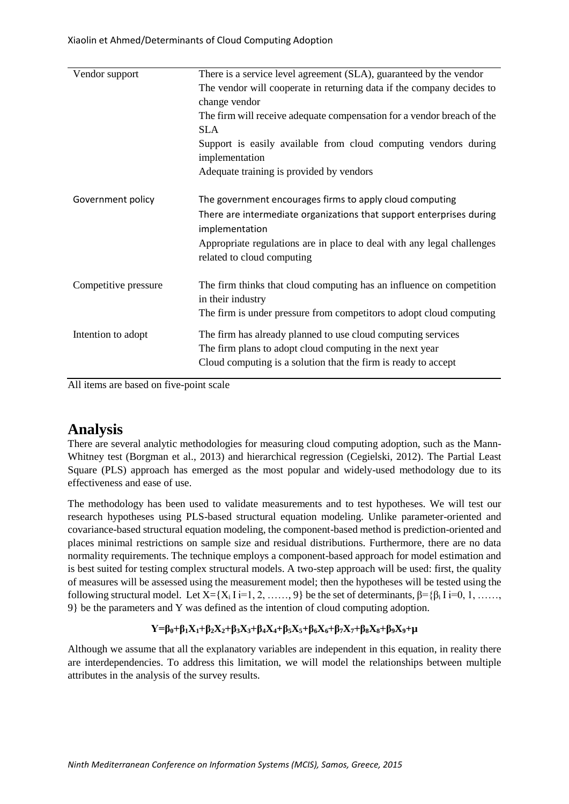| Vendor support       | There is a service level agreement (SLA), guaranteed by the vendor                                                                                                                                                                                         |
|----------------------|------------------------------------------------------------------------------------------------------------------------------------------------------------------------------------------------------------------------------------------------------------|
|                      | The vendor will cooperate in returning data if the company decides to<br>change vendor                                                                                                                                                                     |
|                      | The firm will receive adequate compensation for a vendor breach of the<br><b>SLA</b>                                                                                                                                                                       |
|                      | Support is easily available from cloud computing vendors during<br>implementation                                                                                                                                                                          |
|                      | Adequate training is provided by vendors                                                                                                                                                                                                                   |
| Government policy    | The government encourages firms to apply cloud computing<br>There are intermediate organizations that support enterprises during<br>implementation<br>Appropriate regulations are in place to deal with any legal challenges<br>related to cloud computing |
| Competitive pressure | The firm thinks that cloud computing has an influence on competition<br>in their industry<br>The firm is under pressure from competitors to adopt cloud computing                                                                                          |
| Intention to adopt   | The firm has already planned to use cloud computing services<br>The firm plans to adopt cloud computing in the next year<br>Cloud computing is a solution that the firm is ready to accept                                                                 |

All items are based on five-point scale

## **Analysis**

There are several analytic methodologies for measuring cloud computing adoption, such as the Mann-Whitney test (Borgman et al., 2013) and hierarchical regression (Cegielski, 2012). The Partial Least Square (PLS) approach has emerged as the most popular and widely-used methodology due to its effectiveness and ease of use.

The methodology has been used to validate measurements and to test hypotheses. We will test our research hypotheses using PLS-based structural equation modeling. Unlike parameter-oriented and covariance-based structural equation modeling, the component-based method is prediction-oriented and places minimal restrictions on sample size and residual distributions. Furthermore, there are no data normality requirements. The technique employs a component-based approach for model estimation and is best suited for testing complex structural models. A two-step approach will be used: first, the quality of measures will be assessed using the measurement model; then the hypotheses will be tested using the following structural model. Let  $X = \{X_i \mid i=1, 2, \ldots, 9\}$  be the set of determinants,  $\beta = \{\beta_i \mid i=0, 1, \ldots, 9\}$ 9} be the parameters and Y was defined as the intention of cloud computing adoption.

#### $Y = \beta_0 + \beta_1 X_1 + \beta_2 X_2 + \beta_3 X_3 + \beta_4 X_4 + \beta_5 X_5 + \beta_6 X_6 + \beta_7 X_7 + \beta_8 X_8 + \beta_9 X_9 + \mu$

Although we assume that all the explanatory variables are independent in this equation, in reality there are interdependencies. To address this limitation, we will model the relationships between multiple attributes in the analysis of the survey results.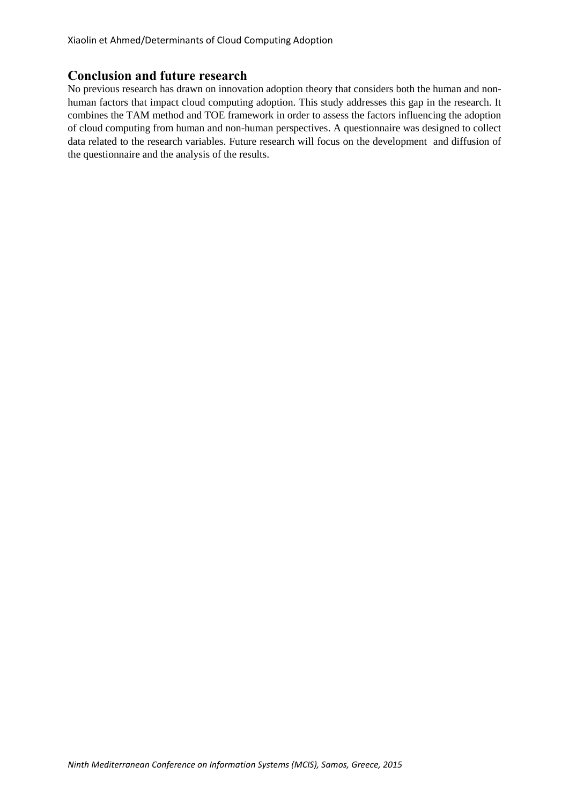Xiaolin et Ahmed/Determinants of Cloud Computing Adoption

#### **Conclusion and future research**

No previous research has drawn on innovation adoption theory that considers both the human and nonhuman factors that impact cloud computing adoption. This study addresses this gap in the research. It combines the TAM method and TOE framework in order to assess the factors influencing the adoption of cloud computing from human and non-human perspectives. A questionnaire was designed to collect data related to the research variables. Future research will focus on the development and diffusion of the questionnaire and the analysis of the results.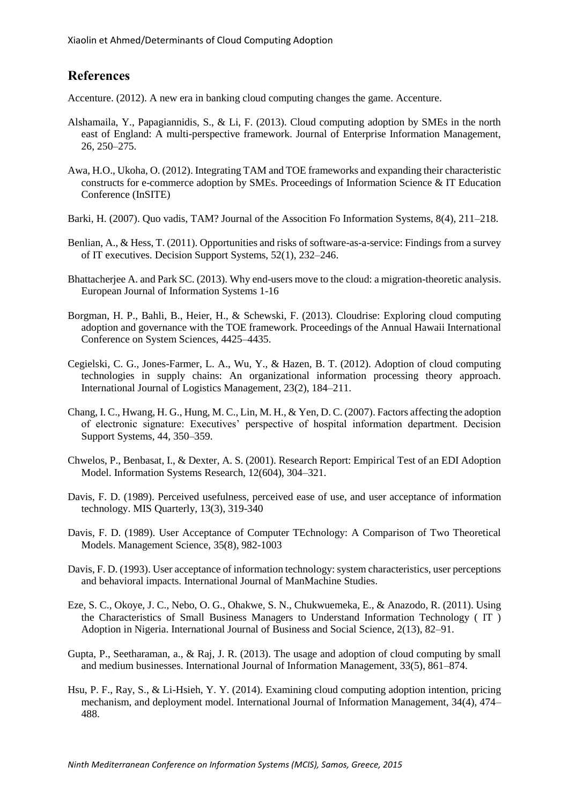### **References**

Accenture. (2012). A new era in banking cloud computing changes the game. Accenture.

- Alshamaila, Y., Papagiannidis, S., & Li, F. (2013). Cloud computing adoption by SMEs in the north east of England: A multi-perspective framework. Journal of Enterprise Information Management, 26, 250–275.
- Awa, H.O., Ukoha, O. (2012). Integrating TAM and TOE frameworks and expanding their characteristic constructs for e-commerce adoption by SMEs. Proceedings of Information Science & IT Education Conference (InSITE)
- Barki, H. (2007). Quo vadis, TAM? Journal of the Assocition Fo Information Systems, 8(4), 211–218.
- Benlian, A., & Hess, T. (2011). Opportunities and risks of software-as-a-service: Findings from a survey of IT executives. Decision Support Systems, 52(1), 232–246.
- Bhattacherjee A. and Park SC. (2013). Why end-users move to the cloud: a migration-theoretic analysis. European Journal of Information Systems 1-16
- Borgman, H. P., Bahli, B., Heier, H., & Schewski, F. (2013). Cloudrise: Exploring cloud computing adoption and governance with the TOE framework. Proceedings of the Annual Hawaii International Conference on System Sciences, 4425–4435.
- Cegielski, C. G., Jones-Farmer, L. A., Wu, Y., & Hazen, B. T. (2012). Adoption of cloud computing technologies in supply chains: An organizational information processing theory approach. International Journal of Logistics Management, 23(2), 184–211.
- Chang, I. C., Hwang, H. G., Hung, M. C., Lin, M. H., & Yen, D. C. (2007). Factors affecting the adoption of electronic signature: Executives' perspective of hospital information department. Decision Support Systems, 44, 350–359.
- Chwelos, P., Benbasat, I., & Dexter, A. S. (2001). Research Report: Empirical Test of an EDI Adoption Model. Information Systems Research, 12(604), 304–321.
- Davis, F. D. (1989). Perceived usefulness, perceived ease of use, and user acceptance of information technology. MIS Quarterly, 13(3), 319-340
- Davis, F. D. (1989). User Acceptance of Computer TEchnology: A Comparison of Two Theoretical Models. Management Science, 35(8), 982-1003
- Davis, F. D. (1993). User acceptance of information technology: system characteristics, user perceptions and behavioral impacts. International Journal of ManMachine Studies.
- Eze, S. C., Okoye, J. C., Nebo, O. G., Ohakwe, S. N., Chukwuemeka, E., & Anazodo, R. (2011). Using the Characteristics of Small Business Managers to Understand Information Technology ( IT ) Adoption in Nigeria. International Journal of Business and Social Science, 2(13), 82–91.
- Gupta, P., Seetharaman, a., & Raj, J. R. (2013). The usage and adoption of cloud computing by small and medium businesses. International Journal of Information Management, 33(5), 861–874.
- Hsu, P. F., Ray, S., & Li-Hsieh, Y. Y. (2014). Examining cloud computing adoption intention, pricing mechanism, and deployment model. International Journal of Information Management, 34(4), 474– 488.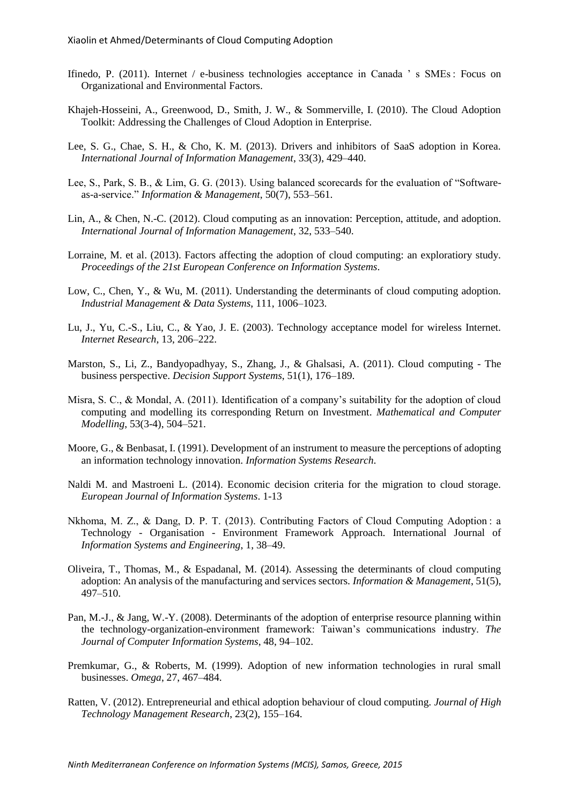- Ifinedo, P. (2011). Internet / e-business technologies acceptance in Canada ' s SMEs : Focus on Organizational and Environmental Factors.
- Khajeh-Hosseini, A., Greenwood, D., Smith, J. W., & Sommerville, I. (2010). The Cloud Adoption Toolkit: Addressing the Challenges of Cloud Adoption in Enterprise.
- Lee, S. G., Chae, S. H., & Cho, K. M. (2013). Drivers and inhibitors of SaaS adoption in Korea. *International Journal of Information Management*, 33(3), 429–440.
- Lee, S., Park, S. B., & Lim, G. G. (2013). Using balanced scorecards for the evaluation of "Softwareas-a-service." *Information & Management*, 50(7), 553–561.
- Lin, A., & Chen, N.-C. (2012). Cloud computing as an innovation: Perception, attitude, and adoption. *International Journal of Information Management*, 32, 533–540.
- Lorraine, M. et al. (2013). Factors affecting the adoption of cloud computing: an exploratiory study. *Proceedings of the 21st European Conference on Information Systems*.
- Low, C., Chen, Y., & Wu, M. (2011). Understanding the determinants of cloud computing adoption. *Industrial Management & Data Systems*, 111, 1006–1023.
- Lu, J., Yu, C.-S., Liu, C., & Yao, J. E. (2003). Technology acceptance model for wireless Internet. *Internet Research*, 13, 206–222.
- Marston, S., Li, Z., Bandyopadhyay, S., Zhang, J., & Ghalsasi, A. (2011). Cloud computing The business perspective. *Decision Support Systems*, 51(1), 176–189.
- Misra, S. C., & Mondal, A. (2011). Identification of a company's suitability for the adoption of cloud computing and modelling its corresponding Return on Investment. *Mathematical and Computer Modelling*, 53(3-4), 504–521.
- Moore, G., & Benbasat, I. (1991). Development of an instrument to measure the perceptions of adopting an information technology innovation. *Information Systems Research*.
- Naldi M. and Mastroeni L. (2014). Economic decision criteria for the migration to cloud storage. *European Journal of Information Systems*. 1-13
- Nkhoma, M. Z., & Dang, D. P. T. (2013). Contributing Factors of Cloud Computing Adoption : a Technology - Organisation - Environment Framework Approach. International Journal of *Information Systems and Engineering*, 1, 38–49.
- Oliveira, T., Thomas, M., & Espadanal, M. (2014). Assessing the determinants of cloud computing adoption: An analysis of the manufacturing and services sectors. *Information & Management*, 51(5), 497–510.
- Pan, M.-J., & Jang, W.-Y. (2008). Determinants of the adoption of enterprise resource planning within the technology-organization-environment framework: Taiwan's communications industry. *The Journal of Computer Information Systems*, 48, 94–102.
- Premkumar, G., & Roberts, M. (1999). Adoption of new information technologies in rural small businesses. *Omega*, 27, 467–484.
- Ratten, V. (2012). Entrepreneurial and ethical adoption behaviour of cloud computing. *Journal of High Technology Management Research*, 23(2), 155–164.